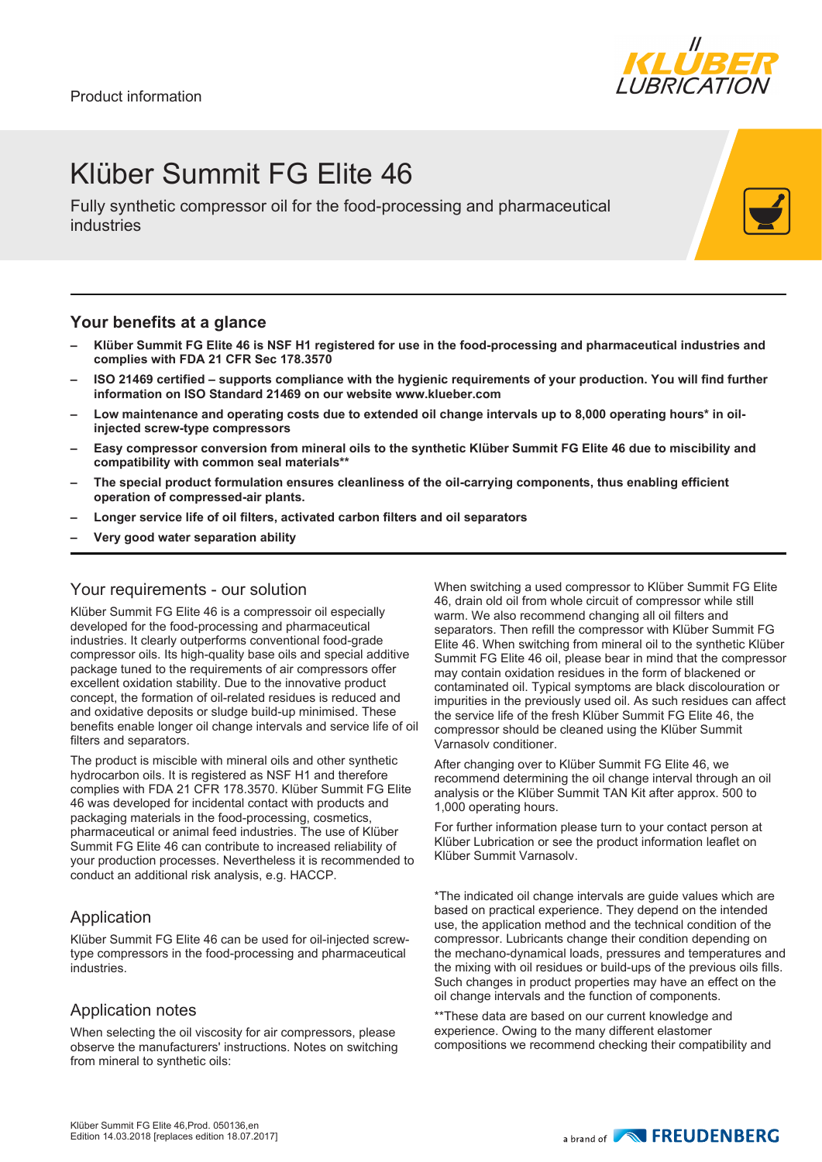

### Klüber Summit FG Elite 46

Fully synthetic compressor oil for the food-processing and pharmaceutical industries

#### **Your benefits at a glance**

- **– Klüber Summit FG Elite 46 is NSF H1 registered for use in the food-processing and pharmaceutical industries and complies with FDA 21 CFR Sec 178.3570**
- **– ISO 21469 certified supports compliance with the hygienic requirements of your production. You will find further information on ISO Standard 21469 on our website www.klueber.com**
- **– Low maintenance and operating costs due to extended oil change intervals up to 8,000 operating hours\* in oilinjected screw-type compressors**
- **– Easy compressor conversion from mineral oils to the synthetic Klüber Summit FG Elite 46 due to miscibility and compatibility with common seal materials\*\***
- **– The special product formulation ensures cleanliness of the oil-carrying components, thus enabling efficient operation of compressed-air plants.**
- **– Longer service life of oil filters, activated carbon filters and oil separators**
- **– Very good water separation ability**

#### Your requirements - our solution

Klüber Summit FG Elite 46 is a compressoir oil especially developed for the food-processing and pharmaceutical industries. It clearly outperforms conventional food-grade compressor oils. Its high-quality base oils and special additive package tuned to the requirements of air compressors offer excellent oxidation stability. Due to the innovative product concept, the formation of oil-related residues is reduced and and oxidative deposits or sludge build-up minimised. These benefits enable longer oil change intervals and service life of oil filters and separators.

The product is miscible with mineral oils and other synthetic hydrocarbon oils. It is registered as NSF H1 and therefore complies with FDA 21 CFR 178.3570. Klüber Summit FG Elite 46 was developed for incidental contact with products and packaging materials in the food-processing, cosmetics, pharmaceutical or animal feed industries. The use of Klüber Summit FG Elite 46 can contribute to increased reliability of your production processes. Nevertheless it is recommended to conduct an additional risk analysis, e.g. HACCP.

#### Application

Klüber Summit FG Elite 46 can be used for oil-injected screwtype compressors in the food-processing and pharmaceutical industries.

#### Application notes

When selecting the oil viscosity for air compressors, please observe the manufacturers' instructions. Notes on switching from mineral to synthetic oils:

When switching a used compressor to Klüber Summit FG Elite 46, drain old oil from whole circuit of compressor while still warm. We also recommend changing all oil filters and separators. Then refill the compressor with Klüber Summit FG Elite 46. When switching from mineral oil to the synthetic Klüber Summit FG Elite 46 oil, please bear in mind that the compressor may contain oxidation residues in the form of blackened or contaminated oil. Typical symptoms are black discolouration or impurities in the previously used oil. As such residues can affect the service life of the fresh Klüber Summit FG Elite 46, the compressor should be cleaned using the Klüber Summit Varnasolv conditioner.

After changing over to Klüber Summit FG Elite 46, we recommend determining the oil change interval through an oil analysis or the Klüber Summit TAN Kit after approx. 500 to 1,000 operating hours.

For further information please turn to your contact person at Klüber Lubrication or see the product information leaflet on Klüber Summit Varnasolv.

\*The indicated oil change intervals are guide values which are based on practical experience. They depend on the intended use, the application method and the technical condition of the compressor. Lubricants change their condition depending on the mechano-dynamical loads, pressures and temperatures and the mixing with oil residues or build-ups of the previous oils fills. Such changes in product properties may have an effect on the oil change intervals and the function of components.

\*\*These data are based on our current knowledge and experience. Owing to the many different elastomer compositions we recommend checking their compatibility and

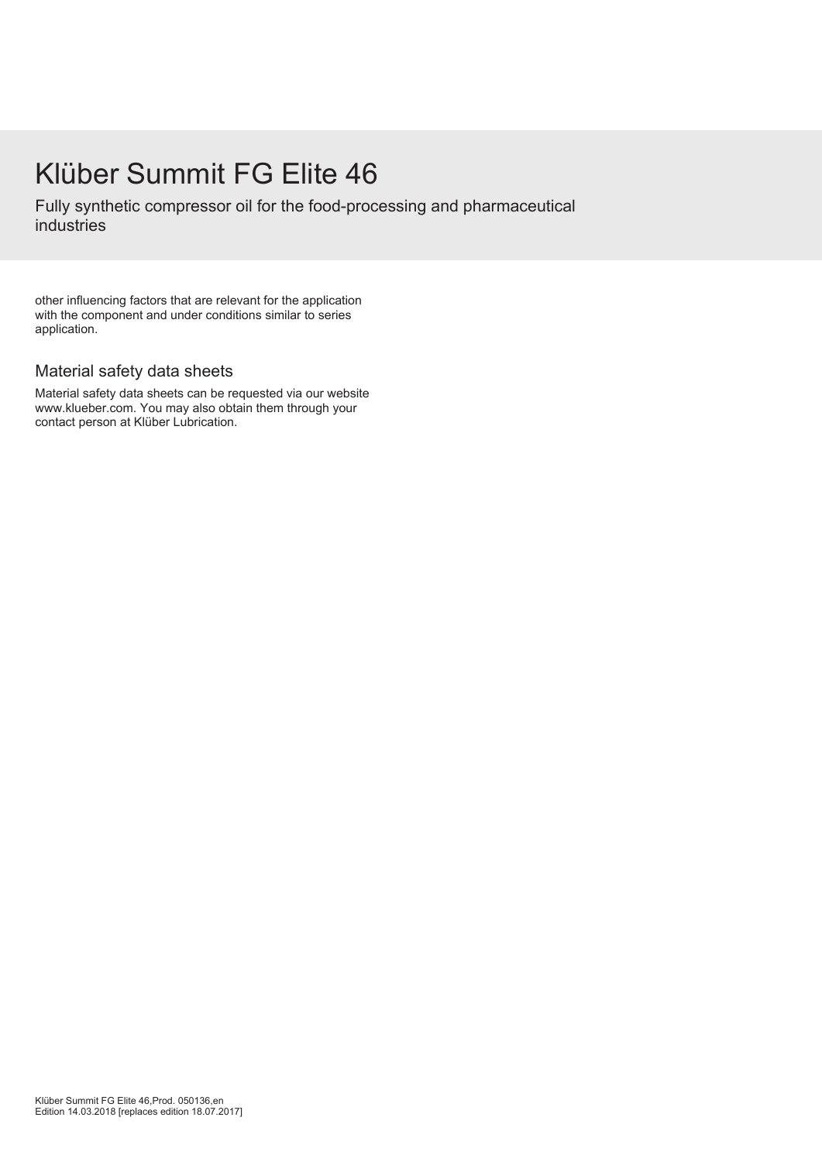## Klüber Summit FG Elite 46

Fully synthetic compressor oil for the food-processing and pharmaceutical industries

other influencing factors that are relevant for the application with the component and under conditions similar to series application.

### Material safety data sheets

Material safety data sheets can be requested via our website www.klueber.com. You may also obtain them through your contact person at Klüber Lubrication.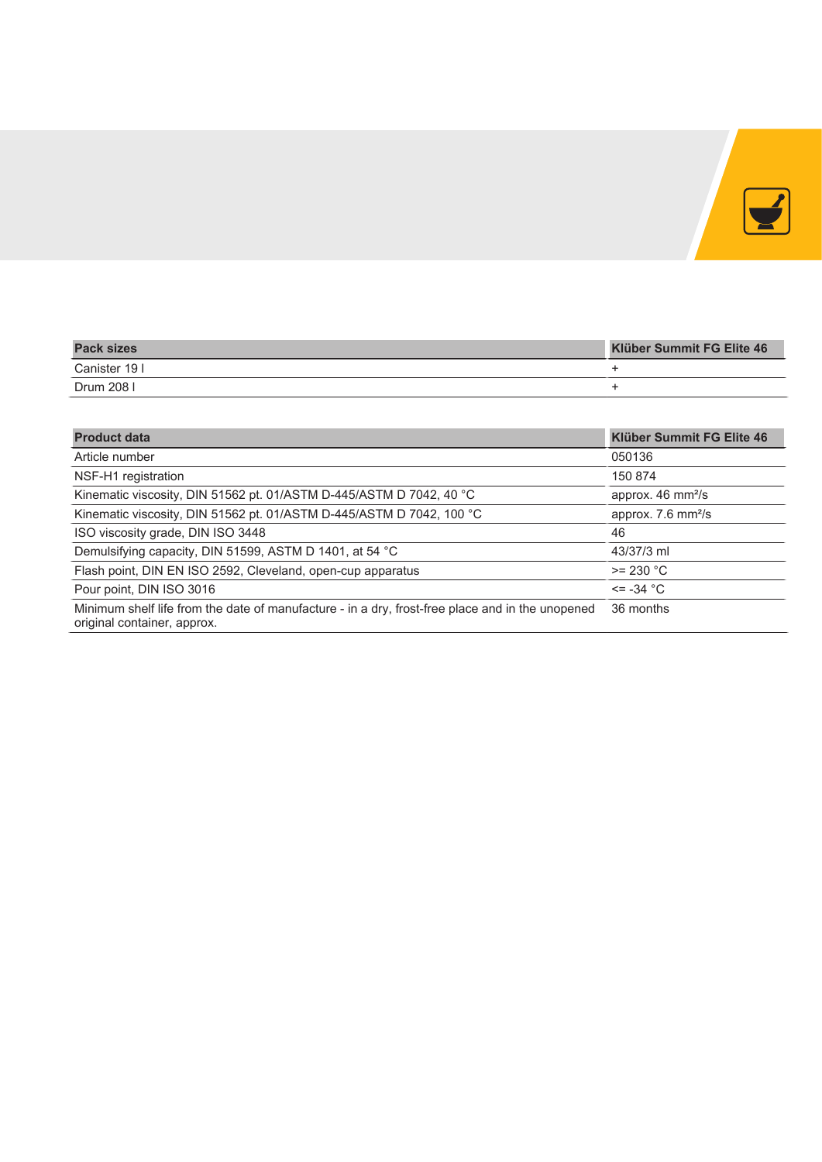

| <b>Pack sizes</b> | <b>Klüber Summit FG Elite 46</b> |
|-------------------|----------------------------------|
| Canister 19 I     |                                  |
| Drum 208          |                                  |

| <b>Product data</b>                                                                                                             | <b>Klüber Summit FG Elite 46</b> |  |  |  |  |  |  |
|---------------------------------------------------------------------------------------------------------------------------------|----------------------------------|--|--|--|--|--|--|
| Article number                                                                                                                  | 050136                           |  |  |  |  |  |  |
| NSF-H1 registration                                                                                                             | 150 874                          |  |  |  |  |  |  |
| Kinematic viscosity, DIN 51562 pt. 01/ASTM D-445/ASTM D 7042, 40 °C                                                             | approx. 46 mm <sup>2</sup> /s    |  |  |  |  |  |  |
| Kinematic viscosity, DIN 51562 pt. 01/ASTM D-445/ASTM D 7042, 100 °C                                                            | approx. 7.6 mm <sup>2</sup> /s   |  |  |  |  |  |  |
| ISO viscosity grade, DIN ISO 3448                                                                                               | 46                               |  |  |  |  |  |  |
| Demulsifying capacity, DIN 51599, ASTM D 1401, at 54 °C                                                                         | 43/37/3 ml                       |  |  |  |  |  |  |
| Flash point, DIN EN ISO 2592, Cleveland, open-cup apparatus                                                                     | $>= 230 °C$                      |  |  |  |  |  |  |
| Pour point, DIN ISO 3016                                                                                                        | $\epsilon$ = -34 °C              |  |  |  |  |  |  |
| Minimum shelf life from the date of manufacture - in a dry, frost-free place and in the unopened<br>original container, approx. | 36 months                        |  |  |  |  |  |  |